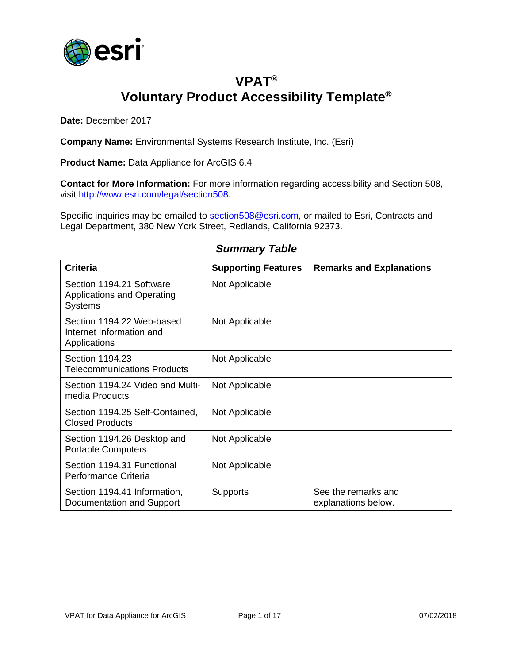

## **VPAT® Voluntary Product Accessibility Template®**

**Date:** December 2017

**Company Name:** Environmental Systems Research Institute, Inc. (Esri)

**Product Name:** Data Appliance for ArcGIS 6.4

**Contact for More Information:** For more information regarding accessibility and Section 508, visit [http://www.esri.com/legal/section508.](http://www.esri.com/legal/section508)

Specific inquiries may be emailed to [section508@esri.com,](mailto:section508@esri.com) or mailed to Esri, Contracts and Legal Department, 380 New York Street, Redlands, California 92373.

| <b>Criteria</b>                                                                 | <b>Supporting Features</b> | <b>Remarks and Explanations</b>            |
|---------------------------------------------------------------------------------|----------------------------|--------------------------------------------|
| Section 1194.21 Software<br><b>Applications and Operating</b><br><b>Systems</b> | Not Applicable             |                                            |
| Section 1194.22 Web-based<br>Internet Information and<br>Applications           | Not Applicable             |                                            |
| Section 1194.23<br><b>Telecommunications Products</b>                           | Not Applicable             |                                            |
| Section 1194.24 Video and Multi-<br>media Products                              | Not Applicable             |                                            |
| Section 1194.25 Self-Contained,<br><b>Closed Products</b>                       | Not Applicable             |                                            |
| Section 1194.26 Desktop and<br><b>Portable Computers</b>                        | Not Applicable             |                                            |
| Section 1194.31 Functional<br>Performance Criteria                              | Not Applicable             |                                            |
| Section 1194.41 Information,<br>Documentation and Support                       | Supports                   | See the remarks and<br>explanations below. |

#### *Summary Table*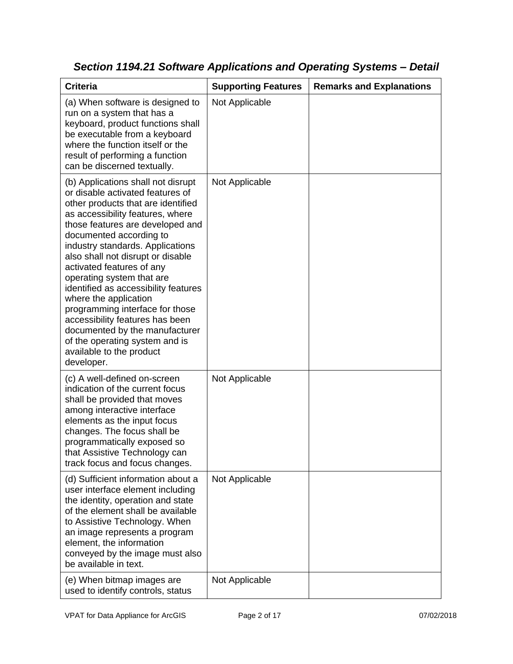| <b>Criteria</b>                                                                                                                                                                                                                                                                                                                                                                                                                                                                                                                                                                                         | <b>Supporting Features</b> | <b>Remarks and Explanations</b> |
|---------------------------------------------------------------------------------------------------------------------------------------------------------------------------------------------------------------------------------------------------------------------------------------------------------------------------------------------------------------------------------------------------------------------------------------------------------------------------------------------------------------------------------------------------------------------------------------------------------|----------------------------|---------------------------------|
| (a) When software is designed to<br>run on a system that has a<br>keyboard, product functions shall<br>be executable from a keyboard<br>where the function itself or the<br>result of performing a function<br>can be discerned textually.                                                                                                                                                                                                                                                                                                                                                              | Not Applicable             |                                 |
| (b) Applications shall not disrupt<br>or disable activated features of<br>other products that are identified<br>as accessibility features, where<br>those features are developed and<br>documented according to<br>industry standards. Applications<br>also shall not disrupt or disable<br>activated features of any<br>operating system that are<br>identified as accessibility features<br>where the application<br>programming interface for those<br>accessibility features has been<br>documented by the manufacturer<br>of the operating system and is<br>available to the product<br>developer. | Not Applicable             |                                 |
| (c) A well-defined on-screen<br>indication of the current focus<br>shall be provided that moves<br>among interactive interface<br>elements as the input focus<br>changes. The focus shall be<br>programmatically exposed so<br>that Assistive Technology can<br>track focus and focus changes.                                                                                                                                                                                                                                                                                                          | Not Applicable             |                                 |
| (d) Sufficient information about a<br>user interface element including<br>the identity, operation and state<br>of the element shall be available<br>to Assistive Technology. When<br>an image represents a program<br>element, the information<br>conveyed by the image must also<br>be available in text.                                                                                                                                                                                                                                                                                              | Not Applicable             |                                 |
| (e) When bitmap images are<br>used to identify controls, status                                                                                                                                                                                                                                                                                                                                                                                                                                                                                                                                         | Not Applicable             |                                 |

*Section 1194.21 Software Applications and Operating Systems – Detail*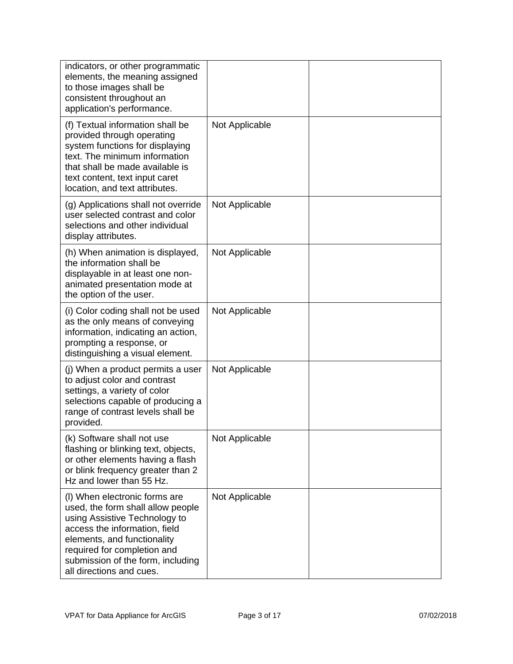| indicators, or other programmatic<br>elements, the meaning assigned<br>to those images shall be<br>consistent throughout an<br>application's performance.                                                                                                           |                |  |
|---------------------------------------------------------------------------------------------------------------------------------------------------------------------------------------------------------------------------------------------------------------------|----------------|--|
| (f) Textual information shall be<br>provided through operating<br>system functions for displaying<br>text. The minimum information<br>that shall be made available is<br>text content, text input caret<br>location, and text attributes.                           | Not Applicable |  |
| (g) Applications shall not override<br>user selected contrast and color<br>selections and other individual<br>display attributes.                                                                                                                                   | Not Applicable |  |
| (h) When animation is displayed,<br>the information shall be<br>displayable in at least one non-<br>animated presentation mode at<br>the option of the user.                                                                                                        | Not Applicable |  |
| (i) Color coding shall not be used<br>as the only means of conveying<br>information, indicating an action,<br>prompting a response, or<br>distinguishing a visual element.                                                                                          | Not Applicable |  |
| (j) When a product permits a user<br>to adjust color and contrast<br>settings, a variety of color<br>selections capable of producing a<br>range of contrast levels shall be<br>provided.                                                                            | Not Applicable |  |
| (k) Software shall not use<br>flashing or blinking text, objects,<br>or other elements having a flash<br>or blink frequency greater than 2<br>Hz and lower than 55 Hz.                                                                                              | Not Applicable |  |
| (I) When electronic forms are<br>used, the form shall allow people<br>using Assistive Technology to<br>access the information, field<br>elements, and functionality<br>required for completion and<br>submission of the form, including<br>all directions and cues. | Not Applicable |  |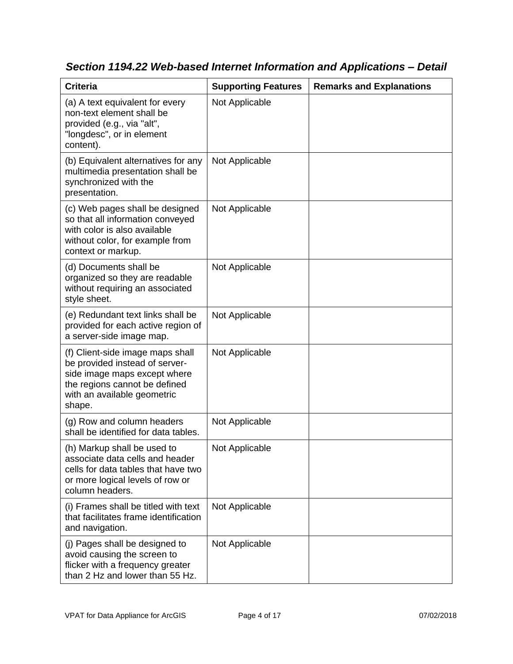| <b>Criteria</b>                                                                                                                                                              | <b>Supporting Features</b> | <b>Remarks and Explanations</b> |
|------------------------------------------------------------------------------------------------------------------------------------------------------------------------------|----------------------------|---------------------------------|
| (a) A text equivalent for every<br>non-text element shall be<br>provided (e.g., via "alt",<br>"longdesc", or in element<br>content).                                         | Not Applicable             |                                 |
| (b) Equivalent alternatives for any<br>multimedia presentation shall be<br>synchronized with the<br>presentation.                                                            | Not Applicable             |                                 |
| (c) Web pages shall be designed<br>so that all information conveyed<br>with color is also available<br>without color, for example from<br>context or markup.                 | Not Applicable             |                                 |
| (d) Documents shall be<br>organized so they are readable<br>without requiring an associated<br>style sheet.                                                                  | Not Applicable             |                                 |
| (e) Redundant text links shall be<br>provided for each active region of<br>a server-side image map.                                                                          | Not Applicable             |                                 |
| (f) Client-side image maps shall<br>be provided instead of server-<br>side image maps except where<br>the regions cannot be defined<br>with an available geometric<br>shape. | Not Applicable             |                                 |
| (g) Row and column headers<br>shall be identified for data tables.                                                                                                           | Not Applicable             |                                 |
| (h) Markup shall be used to<br>associate data cells and header<br>cells for data tables that have two<br>or more logical levels of row or<br>column headers.                 | Not Applicable             |                                 |
| (i) Frames shall be titled with text<br>that facilitates frame identification<br>and navigation.                                                                             | Not Applicable             |                                 |
| (j) Pages shall be designed to<br>avoid causing the screen to<br>flicker with a frequency greater<br>than 2 Hz and lower than 55 Hz.                                         | Not Applicable             |                                 |

*Section 1194.22 Web-based Internet Information and Applications – Detail*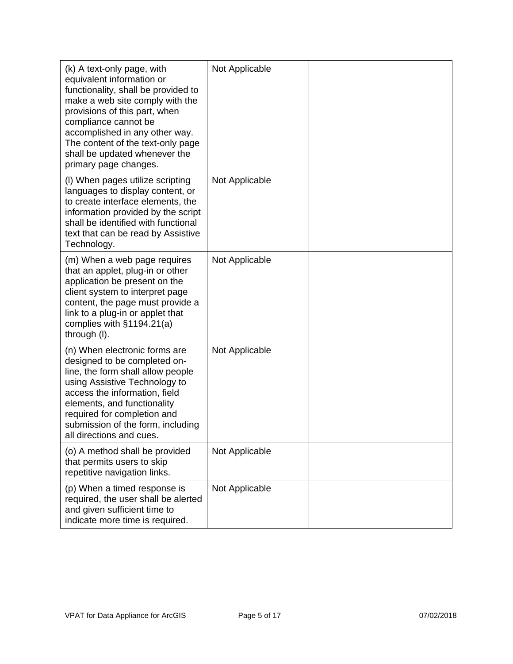| (k) A text-only page, with<br>equivalent information or<br>functionality, shall be provided to<br>make a web site comply with the<br>provisions of this part, when<br>compliance cannot be<br>accomplished in any other way.<br>The content of the text-only page<br>shall be updated whenever the<br>primary page changes. | Not Applicable |  |
|-----------------------------------------------------------------------------------------------------------------------------------------------------------------------------------------------------------------------------------------------------------------------------------------------------------------------------|----------------|--|
| (I) When pages utilize scripting<br>languages to display content, or<br>to create interface elements, the<br>information provided by the script<br>shall be identified with functional<br>text that can be read by Assistive<br>Technology.                                                                                 | Not Applicable |  |
| (m) When a web page requires<br>that an applet, plug-in or other<br>application be present on the<br>client system to interpret page<br>content, the page must provide a<br>link to a plug-in or applet that<br>complies with $§1194.21(a)$<br>through (I).                                                                 | Not Applicable |  |
| (n) When electronic forms are<br>designed to be completed on-<br>line, the form shall allow people<br>using Assistive Technology to<br>access the information, field<br>elements, and functionality<br>required for completion and<br>submission of the form, including<br>all directions and cues.                         | Not Applicable |  |
| (o) A method shall be provided<br>that permits users to skip<br>repetitive navigation links.                                                                                                                                                                                                                                | Not Applicable |  |
| (p) When a timed response is<br>required, the user shall be alerted<br>and given sufficient time to<br>indicate more time is required.                                                                                                                                                                                      | Not Applicable |  |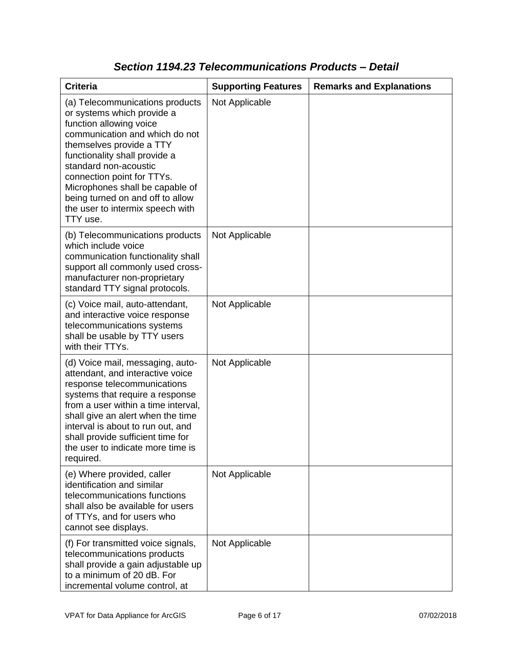| <b>Criteria</b>                                                                                                                                                                                                                                                                                                                                                       | <b>Supporting Features</b> | <b>Remarks and Explanations</b> |
|-----------------------------------------------------------------------------------------------------------------------------------------------------------------------------------------------------------------------------------------------------------------------------------------------------------------------------------------------------------------------|----------------------------|---------------------------------|
| (a) Telecommunications products<br>or systems which provide a<br>function allowing voice<br>communication and which do not<br>themselves provide a TTY<br>functionality shall provide a<br>standard non-acoustic<br>connection point for TTYs.<br>Microphones shall be capable of<br>being turned on and off to allow<br>the user to intermix speech with<br>TTY use. | Not Applicable             |                                 |
| (b) Telecommunications products<br>which include voice<br>communication functionality shall<br>support all commonly used cross-<br>manufacturer non-proprietary<br>standard TTY signal protocols.                                                                                                                                                                     | Not Applicable             |                                 |
| (c) Voice mail, auto-attendant,<br>and interactive voice response<br>telecommunications systems<br>shall be usable by TTY users<br>with their TTYs.                                                                                                                                                                                                                   | Not Applicable             |                                 |
| (d) Voice mail, messaging, auto-<br>attendant, and interactive voice<br>response telecommunications<br>systems that require a response<br>from a user within a time interval,<br>shall give an alert when the time<br>interval is about to run out, and<br>shall provide sufficient time for<br>the user to indicate more time is<br>required.                        | Not Applicable             |                                 |
| (e) Where provided, caller<br>identification and similar<br>telecommunications functions<br>shall also be available for users<br>of TTYs, and for users who<br>cannot see displays.                                                                                                                                                                                   | Not Applicable             |                                 |
| (f) For transmitted voice signals,<br>telecommunications products<br>shall provide a gain adjustable up<br>to a minimum of 20 dB. For<br>incremental volume control, at                                                                                                                                                                                               | Not Applicable             |                                 |

### *Section 1194.23 Telecommunications Products – Detail*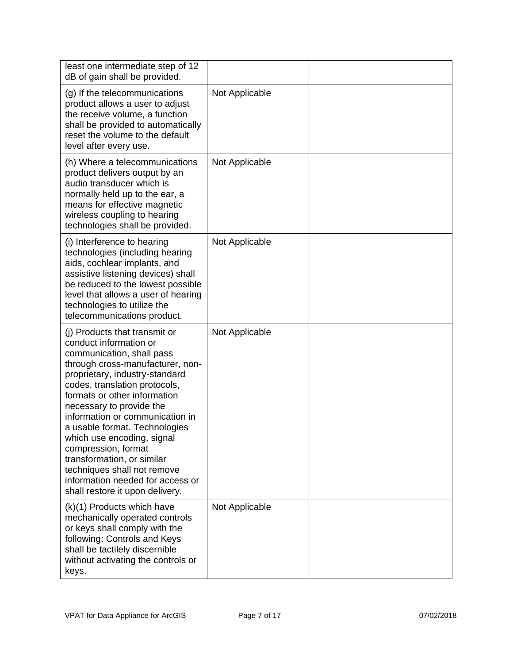| least one intermediate step of 12<br>dB of gain shall be provided.                                                                                                                                                                                                                                                                                                                                                                                                                                                   |                |  |
|----------------------------------------------------------------------------------------------------------------------------------------------------------------------------------------------------------------------------------------------------------------------------------------------------------------------------------------------------------------------------------------------------------------------------------------------------------------------------------------------------------------------|----------------|--|
| (g) If the telecommunications<br>product allows a user to adjust<br>the receive volume, a function<br>shall be provided to automatically<br>reset the volume to the default<br>level after every use.                                                                                                                                                                                                                                                                                                                | Not Applicable |  |
| (h) Where a telecommunications<br>product delivers output by an<br>audio transducer which is<br>normally held up to the ear, a<br>means for effective magnetic<br>wireless coupling to hearing<br>technologies shall be provided.                                                                                                                                                                                                                                                                                    | Not Applicable |  |
| (i) Interference to hearing<br>technologies (including hearing<br>aids, cochlear implants, and<br>assistive listening devices) shall<br>be reduced to the lowest possible<br>level that allows a user of hearing<br>technologies to utilize the<br>telecommunications product.                                                                                                                                                                                                                                       | Not Applicable |  |
| (i) Products that transmit or<br>conduct information or<br>communication, shall pass<br>through cross-manufacturer, non-<br>proprietary, industry-standard<br>codes, translation protocols,<br>formats or other information<br>necessary to provide the<br>information or communication in<br>a usable format. Technologies<br>which use encoding, signal<br>compression, format<br>transformation, or similar<br>techniques shall not remove<br>information needed for access or<br>shall restore it upon delivery. | Not Applicable |  |
| (k)(1) Products which have<br>mechanically operated controls<br>or keys shall comply with the<br>following: Controls and Keys<br>shall be tactilely discernible<br>without activating the controls or<br>keys.                                                                                                                                                                                                                                                                                                       | Not Applicable |  |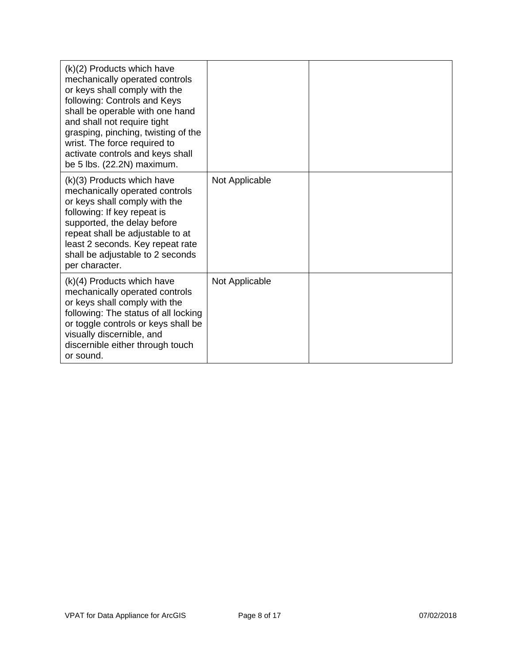| $(k)(2)$ Products which have<br>mechanically operated controls<br>or keys shall comply with the<br>following: Controls and Keys<br>shall be operable with one hand<br>and shall not require tight<br>grasping, pinching, twisting of the<br>wrist. The force required to<br>activate controls and keys shall<br>be 5 lbs. (22.2N) maximum. |                |  |
|--------------------------------------------------------------------------------------------------------------------------------------------------------------------------------------------------------------------------------------------------------------------------------------------------------------------------------------------|----------------|--|
| $(k)(3)$ Products which have<br>mechanically operated controls<br>or keys shall comply with the<br>following: If key repeat is<br>supported, the delay before<br>repeat shall be adjustable to at<br>least 2 seconds. Key repeat rate<br>shall be adjustable to 2 seconds<br>per character.                                                | Not Applicable |  |
| $(k)(4)$ Products which have<br>mechanically operated controls<br>or keys shall comply with the<br>following: The status of all locking<br>or toggle controls or keys shall be<br>visually discernible, and<br>discernible either through touch<br>or sound.                                                                               | Not Applicable |  |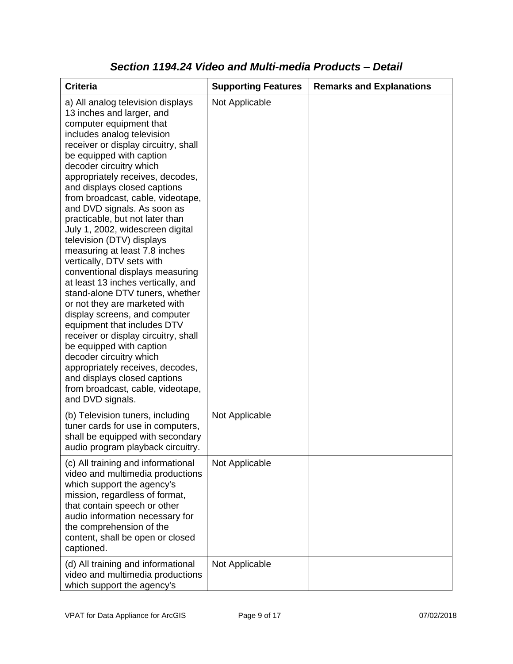| <b>Criteria</b>                                                                                                                                                                                                                                                                                                                                                                                                                                                                                                                                                                                                                                                                                                                                                                                                                                                                                                                                                           | <b>Supporting Features</b> | <b>Remarks and Explanations</b> |
|---------------------------------------------------------------------------------------------------------------------------------------------------------------------------------------------------------------------------------------------------------------------------------------------------------------------------------------------------------------------------------------------------------------------------------------------------------------------------------------------------------------------------------------------------------------------------------------------------------------------------------------------------------------------------------------------------------------------------------------------------------------------------------------------------------------------------------------------------------------------------------------------------------------------------------------------------------------------------|----------------------------|---------------------------------|
| a) All analog television displays<br>13 inches and larger, and<br>computer equipment that<br>includes analog television<br>receiver or display circuitry, shall<br>be equipped with caption<br>decoder circuitry which<br>appropriately receives, decodes,<br>and displays closed captions<br>from broadcast, cable, videotape,<br>and DVD signals. As soon as<br>practicable, but not later than<br>July 1, 2002, widescreen digital<br>television (DTV) displays<br>measuring at least 7.8 inches<br>vertically, DTV sets with<br>conventional displays measuring<br>at least 13 inches vertically, and<br>stand-alone DTV tuners, whether<br>or not they are marketed with<br>display screens, and computer<br>equipment that includes DTV<br>receiver or display circuitry, shall<br>be equipped with caption<br>decoder circuitry which<br>appropriately receives, decodes,<br>and displays closed captions<br>from broadcast, cable, videotape,<br>and DVD signals. | Not Applicable             |                                 |
| (b) Television tuners, including<br>tuner cards for use in computers,<br>shall be equipped with secondary<br>audio program playback circuitry.                                                                                                                                                                                                                                                                                                                                                                                                                                                                                                                                                                                                                                                                                                                                                                                                                            | Not Applicable             |                                 |
| (c) All training and informational<br>video and multimedia productions<br>which support the agency's<br>mission, regardless of format,<br>that contain speech or other<br>audio information necessary for<br>the comprehension of the<br>content, shall be open or closed<br>captioned.                                                                                                                                                                                                                                                                                                                                                                                                                                                                                                                                                                                                                                                                                   | Not Applicable             |                                 |
| (d) All training and informational<br>video and multimedia productions<br>which support the agency's                                                                                                                                                                                                                                                                                                                                                                                                                                                                                                                                                                                                                                                                                                                                                                                                                                                                      | Not Applicable             |                                 |

### *Section 1194.24 Video and Multi-media Products – Detail*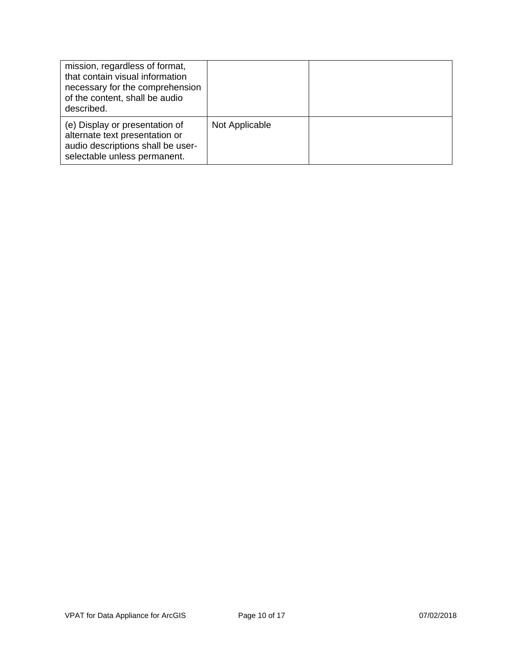| mission, regardless of format,<br>that contain visual information<br>necessary for the comprehension<br>of the content, shall be audio<br>described. |                |  |
|------------------------------------------------------------------------------------------------------------------------------------------------------|----------------|--|
| (e) Display or presentation of<br>alternate text presentation or<br>audio descriptions shall be user-<br>selectable unless permanent.                | Not Applicable |  |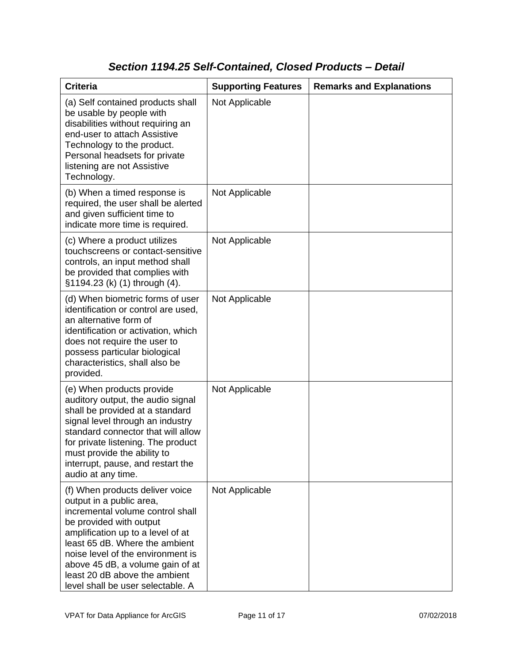### *Section 1194.25 Self-Contained, Closed Products – Detail*

| <b>Criteria</b>                                                                                                                                                                                                                                                                                                                                  | <b>Supporting Features</b> | <b>Remarks and Explanations</b> |
|--------------------------------------------------------------------------------------------------------------------------------------------------------------------------------------------------------------------------------------------------------------------------------------------------------------------------------------------------|----------------------------|---------------------------------|
| (a) Self contained products shall<br>be usable by people with<br>disabilities without requiring an<br>end-user to attach Assistive<br>Technology to the product.<br>Personal headsets for private<br>listening are not Assistive<br>Technology.                                                                                                  | Not Applicable             |                                 |
| (b) When a timed response is<br>required, the user shall be alerted<br>and given sufficient time to<br>indicate more time is required.                                                                                                                                                                                                           | Not Applicable             |                                 |
| (c) Where a product utilizes<br>touchscreens or contact-sensitive<br>controls, an input method shall<br>be provided that complies with<br>§1194.23 (k) (1) through (4).                                                                                                                                                                          | Not Applicable             |                                 |
| (d) When biometric forms of user<br>identification or control are used,<br>an alternative form of<br>identification or activation, which<br>does not require the user to<br>possess particular biological<br>characteristics, shall also be<br>provided.                                                                                         | Not Applicable             |                                 |
| (e) When products provide<br>auditory output, the audio signal<br>shall be provided at a standard<br>signal level through an industry<br>standard connector that will allow<br>for private listening. The product<br>must provide the ability to<br>interrupt, pause, and restart the<br>audio at any time.                                      | Not Applicable             |                                 |
| (f) When products deliver voice<br>output in a public area,<br>incremental volume control shall<br>be provided with output<br>amplification up to a level of at<br>least 65 dB. Where the ambient<br>noise level of the environment is<br>above 45 dB, a volume gain of at<br>least 20 dB above the ambient<br>level shall be user selectable. A | Not Applicable             |                                 |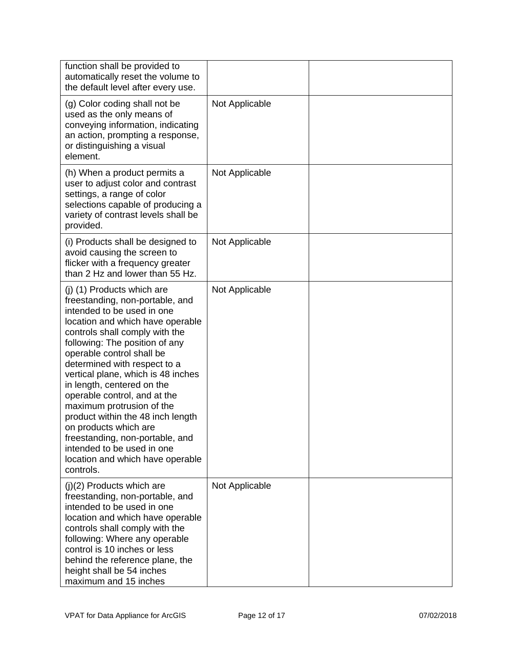| function shall be provided to<br>automatically reset the volume to<br>the default level after every use.                                                                                                                                                                                                                                                                                                                                                                                                                                                                          |                |  |
|-----------------------------------------------------------------------------------------------------------------------------------------------------------------------------------------------------------------------------------------------------------------------------------------------------------------------------------------------------------------------------------------------------------------------------------------------------------------------------------------------------------------------------------------------------------------------------------|----------------|--|
| (g) Color coding shall not be<br>used as the only means of<br>conveying information, indicating<br>an action, prompting a response,<br>or distinguishing a visual<br>element.                                                                                                                                                                                                                                                                                                                                                                                                     | Not Applicable |  |
| (h) When a product permits a<br>user to adjust color and contrast<br>settings, a range of color<br>selections capable of producing a<br>variety of contrast levels shall be<br>provided.                                                                                                                                                                                                                                                                                                                                                                                          | Not Applicable |  |
| (i) Products shall be designed to<br>avoid causing the screen to<br>flicker with a frequency greater<br>than 2 Hz and lower than 55 Hz.                                                                                                                                                                                                                                                                                                                                                                                                                                           | Not Applicable |  |
| (j) (1) Products which are<br>freestanding, non-portable, and<br>intended to be used in one<br>location and which have operable<br>controls shall comply with the<br>following: The position of any<br>operable control shall be<br>determined with respect to a<br>vertical plane, which is 48 inches<br>in length, centered on the<br>operable control, and at the<br>maximum protrusion of the<br>product within the 48 inch length<br>on products which are<br>freestanding, non-portable, and<br>intended to be used in one<br>location and which have operable<br>controls. | Not Applicable |  |
| $(j)(2)$ Products which are<br>freestanding, non-portable, and<br>intended to be used in one<br>location and which have operable<br>controls shall comply with the<br>following: Where any operable<br>control is 10 inches or less<br>behind the reference plane, the<br>height shall be 54 inches<br>maximum and 15 inches                                                                                                                                                                                                                                                      | Not Applicable |  |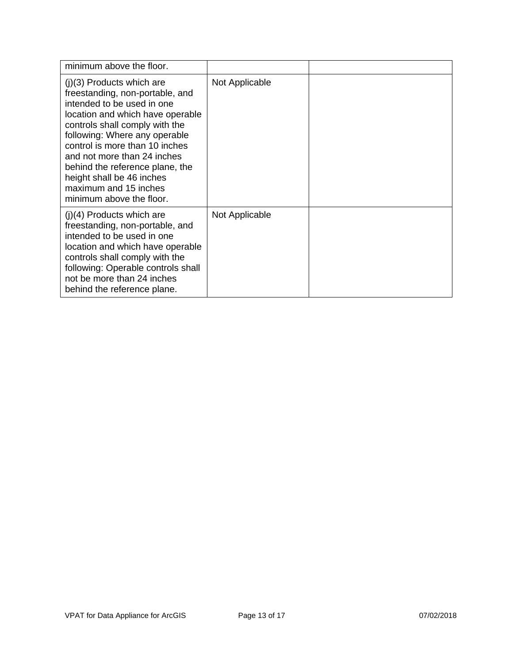| minimum above the floor.                                                                                                                                                                                                                                                                                                                                                                  |                |  |
|-------------------------------------------------------------------------------------------------------------------------------------------------------------------------------------------------------------------------------------------------------------------------------------------------------------------------------------------------------------------------------------------|----------------|--|
| $(j)(3)$ Products which are<br>freestanding, non-portable, and<br>intended to be used in one<br>location and which have operable<br>controls shall comply with the<br>following: Where any operable<br>control is more than 10 inches<br>and not more than 24 inches<br>behind the reference plane, the<br>height shall be 46 inches<br>maximum and 15 inches<br>minimum above the floor. | Not Applicable |  |
| $(j)(4)$ Products which are<br>freestanding, non-portable, and<br>intended to be used in one<br>location and which have operable<br>controls shall comply with the<br>following: Operable controls shall<br>not be more than 24 inches<br>behind the reference plane.                                                                                                                     | Not Applicable |  |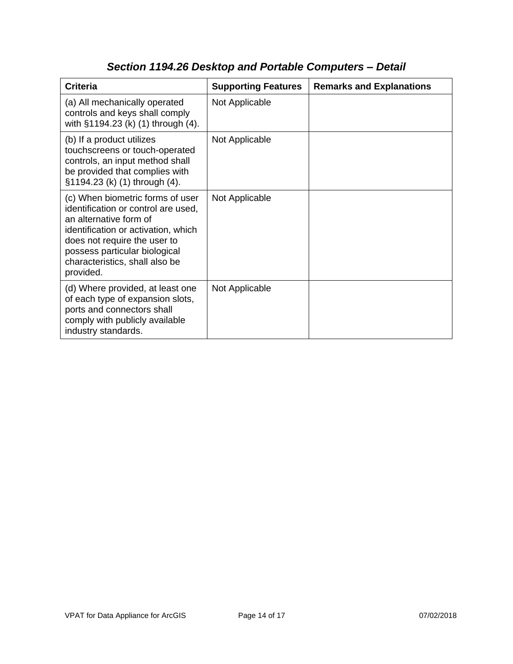| <b>Criteria</b>                                                                                                                                                                                                                                          | <b>Supporting Features</b> | <b>Remarks and Explanations</b> |
|----------------------------------------------------------------------------------------------------------------------------------------------------------------------------------------------------------------------------------------------------------|----------------------------|---------------------------------|
| (a) All mechanically operated<br>controls and keys shall comply<br>with §1194.23 (k) (1) through (4).                                                                                                                                                    | Not Applicable             |                                 |
| (b) If a product utilizes<br>touchscreens or touch-operated<br>controls, an input method shall<br>be provided that complies with<br>§1194.23 (k) (1) through (4).                                                                                        | Not Applicable             |                                 |
| (c) When biometric forms of user<br>identification or control are used,<br>an alternative form of<br>identification or activation, which<br>does not require the user to<br>possess particular biological<br>characteristics, shall also be<br>provided. | Not Applicable             |                                 |
| (d) Where provided, at least one<br>of each type of expansion slots,<br>ports and connectors shall<br>comply with publicly available<br>industry standards.                                                                                              | Not Applicable             |                                 |

# *Section 1194.26 Desktop and Portable Computers – Detail*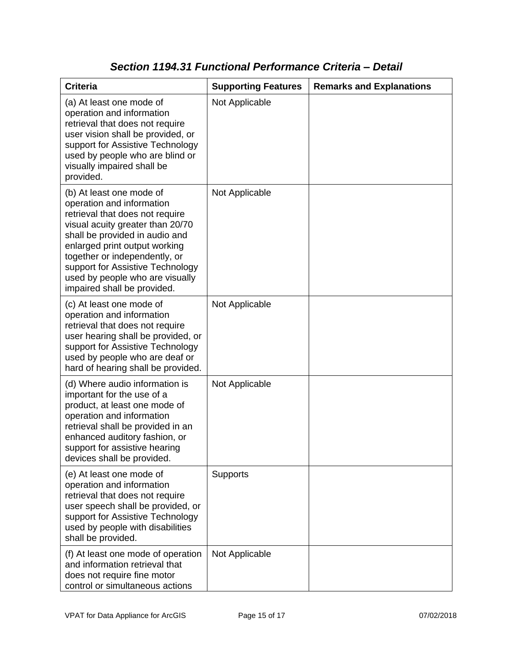| <b>Criteria</b>                                                                                                                                                                                                                                                                                                                        | <b>Supporting Features</b> | <b>Remarks and Explanations</b> |
|----------------------------------------------------------------------------------------------------------------------------------------------------------------------------------------------------------------------------------------------------------------------------------------------------------------------------------------|----------------------------|---------------------------------|
| (a) At least one mode of<br>operation and information<br>retrieval that does not require<br>user vision shall be provided, or<br>support for Assistive Technology<br>used by people who are blind or<br>visually impaired shall be<br>provided.                                                                                        | Not Applicable             |                                 |
| (b) At least one mode of<br>operation and information<br>retrieval that does not require<br>visual acuity greater than 20/70<br>shall be provided in audio and<br>enlarged print output working<br>together or independently, or<br>support for Assistive Technology<br>used by people who are visually<br>impaired shall be provided. | Not Applicable             |                                 |
| (c) At least one mode of<br>operation and information<br>retrieval that does not require<br>user hearing shall be provided, or<br>support for Assistive Technology<br>used by people who are deaf or<br>hard of hearing shall be provided.                                                                                             | Not Applicable             |                                 |
| (d) Where audio information is<br>important for the use of a<br>product, at least one mode of<br>operation and information<br>retrieval shall be provided in an<br>enhanced auditory fashion, or<br>support for assistive hearing<br>devices shall be provided.                                                                        | Not Applicable             |                                 |
| (e) At least one mode of<br>operation and information<br>retrieval that does not require<br>user speech shall be provided, or<br>support for Assistive Technology<br>used by people with disabilities<br>shall be provided.                                                                                                            | <b>Supports</b>            |                                 |
| (f) At least one mode of operation<br>and information retrieval that<br>does not require fine motor<br>control or simultaneous actions                                                                                                                                                                                                 | Not Applicable             |                                 |

### *Section 1194.31 Functional Performance Criteria – Detail*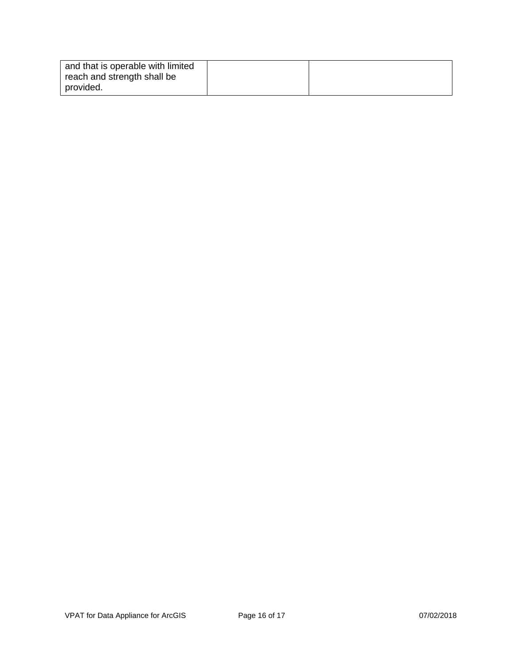| and that is operable with limited |  |
|-----------------------------------|--|
| reach and strength shall be       |  |
| provided.                         |  |